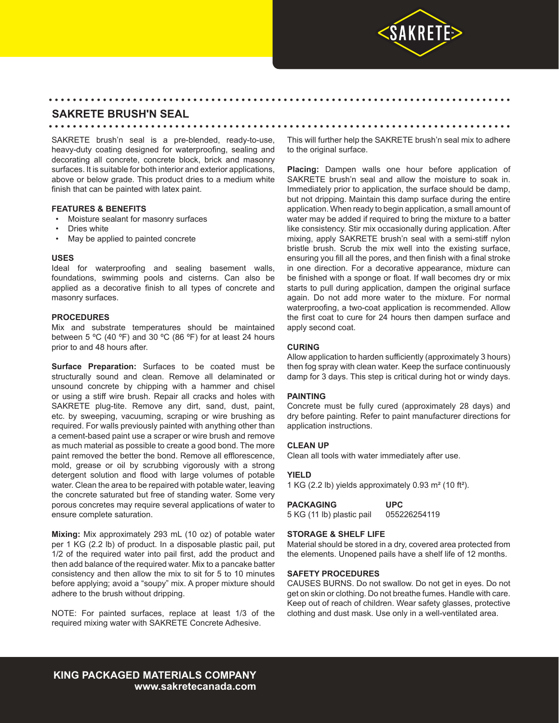

# **SAKRETE BRUSH'N SEAL**

SAKRETE brush'n seal is a pre-blended, ready-to-use, heavy-duty coating designed for waterproofing, sealing and decorating all concrete, concrete block, brick and masonry surfaces. It is suitable for both interior and exterior applications, above or below grade. This product dries to a medium white finish that can be painted with latex paint.

## **FEATURES & BENEFITS**

- Moisture sealant for masonry surfaces
- Dries white
- May be applied to painted concrete

## **USES**

Ideal for waterproofing and sealing basement walls, foundations, swimming pools and cisterns. Can also be applied as a decorative finish to all types of concrete and masonry surfaces.

## **PROCEDURES**

Mix and substrate temperatures should be maintained between 5 °C (40 °F) and 30 °C (86 °F) for at least 24 hours prior to and 48 hours after.

**Surface Preparation:** Surfaces to be coated must be structurally sound and clean. Remove all delaminated or unsound concrete by chipping with a hammer and chisel or using a stiff wire brush. Repair all cracks and holes with SAKRETE plug-tite. Remove any dirt, sand, dust, paint, etc. by sweeping, vacuuming, scraping or wire brushing as required. For walls previously painted with anything other than a cement-based paint use a scraper or wire brush and remove as much material as possible to create a good bond. The more paint removed the better the bond. Remove all efflorescence, mold, grease or oil by scrubbing vigorously with a strong detergent solution and flood with large volumes of potable water. Clean the area to be repaired with potable water, leaving the concrete saturated but free of standing water. Some very porous concretes may require several applications of water to ensure complete saturation.

**Mixing:** Mix approximately 293 mL (10 oz) of potable water per 1 KG (2.2 lb) of product. In a disposable plastic pail, put 1/2 of the required water into pail first, add the product and then add balance of the required water. Mix to a pancake batter consistency and then allow the mix to sit for 5 to 10 minutes before applying; avoid a "soupy" mix. A proper mixture should adhere to the brush without dripping.

NOTE: For painted surfaces, replace at least 1/3 of the required mixing water with SAKRETE Concrete Adhesive.

This will further help the SAKRETE brush'n seal mix to adhere to the original surface.

**Placing:** Dampen walls one hour before application of SAKRETE brush'n seal and allow the moisture to soak in. Immediately prior to application, the surface should be damp, but not dripping. Maintain this damp surface during the entire application. When ready to begin application, a small amount of water may be added if required to bring the mixture to a batter like consistency. Stir mix occasionally during application. After mixing, apply SAKRETE brush'n seal with a semi-stiff nylon bristle brush. Scrub the mix well into the existing surface, ensuring you fill all the pores, and then finish with a final stroke in one direction. For a decorative appearance, mixture can be finished with a sponge or float. If wall becomes dry or mix starts to pull during application, dampen the original surface again. Do not add more water to the mixture. For normal waterproofing, a two-coat application is recommended. Allow the first coat to cure for 24 hours then dampen surface and apply second coat.

## **CURING**

• • • • • • • • • • • • • • • • • • • • • • • • • • • • • • • • • • • • • • • • • • • • • • • • • • • • • • • • • • • • • • • • • • • • • • • • • • • • •

• • • • • • • • • • • • • • • • • • • • • • • • • • • • • • • • • • • • • • • • • • • • • • • • • • • • • • • • • • • • • • • • • • • • • • • • • • • • •

Allow application to harden sufficiently (approximately 3 hours) then fog spray with clean water. Keep the surface continuously damp for 3 days. This step is critical during hot or windy days.

## **PAINTING**

Concrete must be fully cured (approximately 28 days) and dry before painting. Refer to paint manufacturer directions for application instructions.

## **CLEAN UP**

Clean all tools with water immediately after use.

## **YIELD**

1 KG (2.2 lb) yields approximately 0.93 m² (10 ft²).

**PACKAGING UPC** 5 KG (11 lb) plastic pail 055226254119

#### **STORAGE & SHELF LIFE**

Material should be stored in a dry, covered area protected from the elements. Unopened pails have a shelf life of 12 months.

## **SAFETY PROCEDURES**

CAUSES BURNS. Do not swallow. Do not get in eyes. Do not get on skin or clothing. Do not breathe fumes. Handle with care. Keep out of reach of children. Wear safety glasses, protective clothing and dust mask. Use only in a well-ventilated area.

**KING PACKAGED MATERIALS COMPANY www.sakretecanada.com**